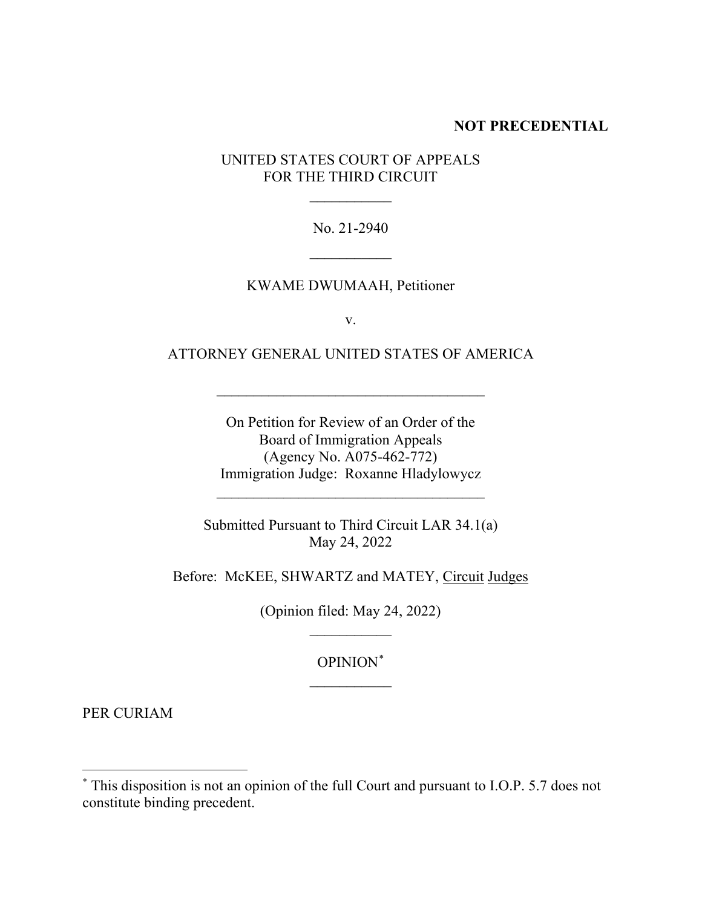## **NOT PRECEDENTIAL**

## UNITED STATES COURT OF APPEALS FOR THE THIRD CIRCUIT

 $\frac{1}{2}$ 

No. 21-2940

 $\overline{\phantom{a}}$ 

## KWAME DWUMAAH, Petitioner

v.

## ATTORNEY GENERAL UNITED STATES OF AMERICA

\_\_\_\_\_\_\_\_\_\_\_\_\_\_\_\_\_\_\_\_\_\_\_\_\_\_\_\_\_\_\_\_\_\_\_\_

On Petition for Review of an Order of the Board of Immigration Appeals (Agency No. A075-462-772) Immigration Judge: Roxanne Hladylowycz

\_\_\_\_\_\_\_\_\_\_\_\_\_\_\_\_\_\_\_\_\_\_\_\_\_\_\_\_\_\_\_\_\_\_\_\_

Submitted Pursuant to Third Circuit LAR 34.1(a) May 24, 2022

Before: McKEE, SHWARTZ and MATEY, Circuit Judges

(Opinion filed: May 24, 2022)  $\frac{1}{2}$ 

> OPINION\*  $\overline{\phantom{a}}$

PER CURIAM

<sup>\*</sup> This disposition is not an opinion of the full Court and pursuant to I.O.P. 5.7 does not constitute binding precedent.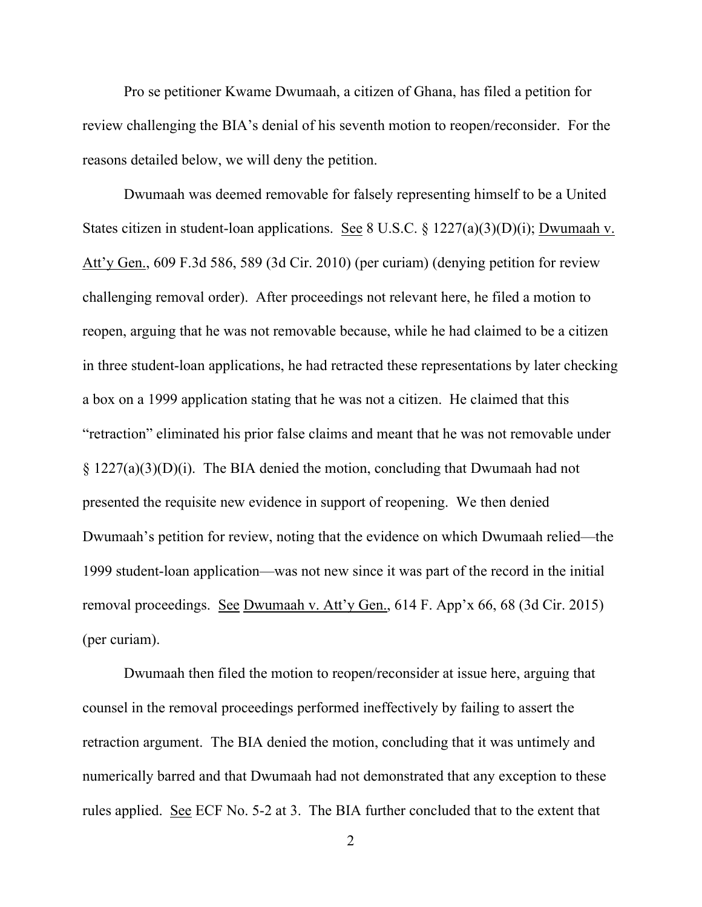Pro se petitioner Kwame Dwumaah, a citizen of Ghana, has filed a petition for review challenging the BIA's denial of his seventh motion to reopen/reconsider. For the reasons detailed below, we will deny the petition.

Dwumaah was deemed removable for falsely representing himself to be a United States citizen in student-loan applications. See 8 U.S.C. § 1227(a)(3)(D)(i); Dwumaah v. Att'y Gen., 609 F.3d 586, 589 (3d Cir. 2010) (per curiam) (denying petition for review challenging removal order). After proceedings not relevant here, he filed a motion to reopen, arguing that he was not removable because, while he had claimed to be a citizen in three student-loan applications, he had retracted these representations by later checking a box on a 1999 application stating that he was not a citizen. He claimed that this "retraction" eliminated his prior false claims and meant that he was not removable under § 1227(a)(3)(D)(i). The BIA denied the motion, concluding that Dwumaah had not presented the requisite new evidence in support of reopening. We then denied Dwumaah's petition for review, noting that the evidence on which Dwumaah relied—the 1999 student-loan application—was not new since it was part of the record in the initial removal proceedings. See Dwumaah v. Att'y Gen., 614 F. App'x 66, 68 (3d Cir. 2015) (per curiam).

Dwumaah then filed the motion to reopen/reconsider at issue here, arguing that counsel in the removal proceedings performed ineffectively by failing to assert the retraction argument. The BIA denied the motion, concluding that it was untimely and numerically barred and that Dwumaah had not demonstrated that any exception to these rules applied. See ECF No. 5-2 at 3. The BIA further concluded that to the extent that

2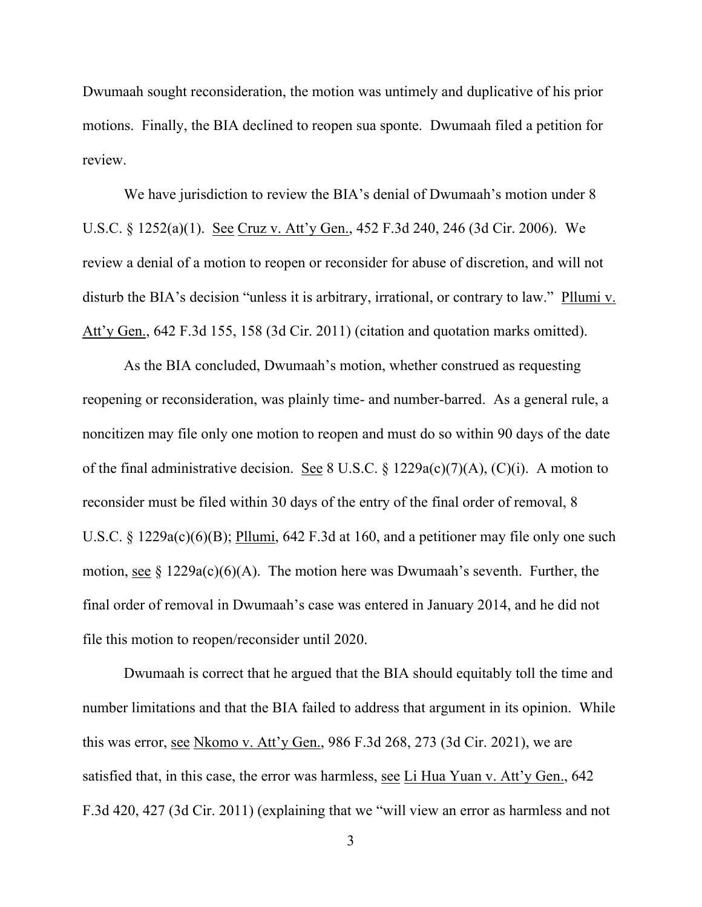Dwumaah sought reconsideration, the motion was untimely and duplicative of his prior motions. Finally, the BIA declined to reopen sua sponte. Dwumaah filed a petition for review.

We have jurisdiction to review the BIA's denial of Dwumaah's motion under 8 U.S.C. § 1252(a)(1). See Cruz v. Att'y Gen., 452 F.3d 240, 246 (3d Cir. 2006). We review a denial of a motion to reopen or reconsider for abuse of discretion, and will not disturb the BIA's decision "unless it is arbitrary, irrational, or contrary to law." Pllumi v. Att'y Gen., 642 F.3d 155, 158 (3d Cir. 2011) (citation and quotation marks omitted).

As the BIA concluded, Dwumaah's motion, whether construed as requesting reopening or reconsideration, was plainly time- and number-barred. As a general rule, a noncitizen may file only one motion to reopen and must do so within 90 days of the date of the final administrative decision. See 8 U.S.C. § 1229a(c)(7)(A), (C)(i). A motion to reconsider must be filed within 30 days of the entry of the final order of removal, 8 U.S.C. § 1229a(c)(6)(B); Pllumi, 642 F.3d at 160, and a petitioner may file only one such motion, see  $\S 1229a(c)(6)(A)$ . The motion here was Dwumaah's seventh. Further, the final order of removal in Dwumaah's case was entered in January 2014, and he did not file this motion to reopen/reconsider until 2020.

Dwumaah is correct that he argued that the BIA should equitably toll the time and number limitations and that the BIA failed to address that argument in its opinion. While this was error, see Nkomo v. Att'y Gen., 986 F.3d 268, 273 (3d Cir. 2021), we are satisfied that, in this case, the error was harmless, see Li Hua Yuan v. Att'y Gen., 642 F.3d 420, 427 (3d Cir. 2011) (explaining that we "will view an error as harmless and not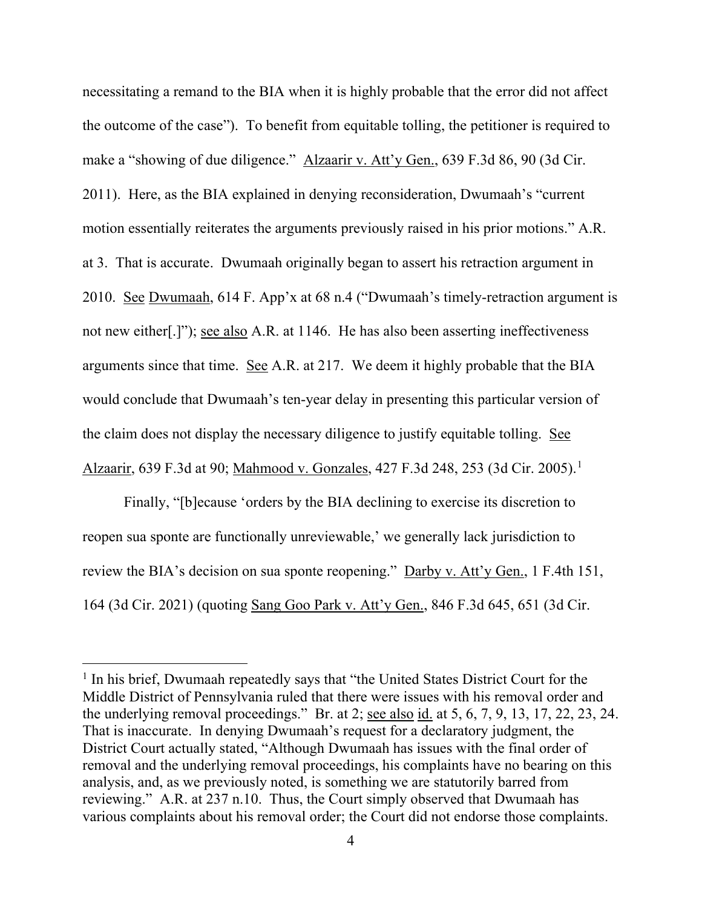necessitating a remand to the BIA when it is highly probable that the error did not affect the outcome of the case"). To benefit from equitable tolling, the petitioner is required to make a "showing of due diligence." Alzaarir v. Att'y Gen., 639 F.3d 86, 90 (3d Cir. 2011). Here, as the BIA explained in denying reconsideration, Dwumaah's "current motion essentially reiterates the arguments previously raised in his prior motions." A.R. at 3. That is accurate. Dwumaah originally began to assert his retraction argument in 2010. See Dwumaah, 614 F. App'x at 68 n.4 ("Dwumaah's timely-retraction argument is not new either[.]"); see also A.R. at 1146. He has also been asserting ineffectiveness arguments since that time. See A.R. at 217. We deem it highly probable that the BIA would conclude that Dwumaah's ten-year delay in presenting this particular version of the claim does not display the necessary diligence to justify equitable tolling. See Alzaarir, 639 F.3d at 90; Mahmood v. Gonzales, 427 F.3d 248, 253 (3d Cir. 2005).1

Finally, "[b]ecause 'orders by the BIA declining to exercise its discretion to reopen sua sponte are functionally unreviewable,' we generally lack jurisdiction to review the BIA's decision on sua sponte reopening." Darby v. Att'y Gen., 1 F.4th 151, 164 (3d Cir. 2021) (quoting Sang Goo Park v. Att'y Gen., 846 F.3d 645, 651 (3d Cir.

 $<sup>1</sup>$  In his brief, Dwumaah repeatedly says that "the United States District Court for the</sup> Middle District of Pennsylvania ruled that there were issues with his removal order and the underlying removal proceedings." Br. at 2; <u>see also id.</u> at 5, 6, 7, 9, 13, 17, 22, 23, 24. That is inaccurate. In denying Dwumaah's request for a declaratory judgment, the District Court actually stated, "Although Dwumaah has issues with the final order of removal and the underlying removal proceedings, his complaints have no bearing on this analysis, and, as we previously noted, is something we are statutorily barred from reviewing." A.R. at 237 n.10. Thus, the Court simply observed that Dwumaah has various complaints about his removal order; the Court did not endorse those complaints.